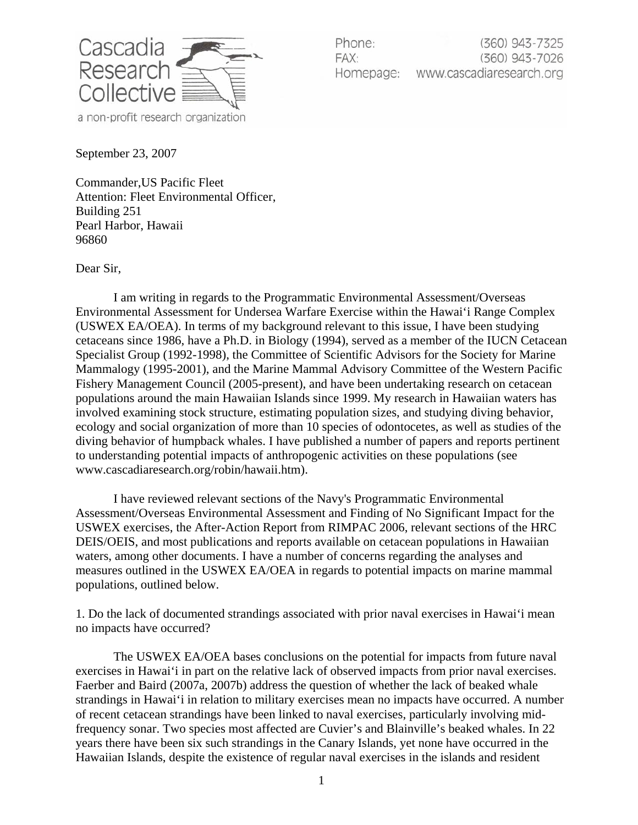

Phone: (360) 943-7325 FAX: (360) 943-7026 www.cascadiaresearch.org Homepage:

September 23, 2007

Commander,US Pacific Fleet Attention: Fleet Environmental Officer, Building 251 Pearl Harbor, Hawaii 96860

Dear Sir,

I am writing in regards to the Programmatic Environmental Assessment/Overseas Environmental Assessment for Undersea Warfare Exercise within the Hawai'i Range Complex (USWEX EA/OEA). In terms of my background relevant to this issue, I have been studying cetaceans since 1986, have a Ph.D. in Biology (1994), served as a member of the IUCN Cetacean Specialist Group (1992-1998), the Committee of Scientific Advisors for the Society for Marine Mammalogy (1995-2001), and the Marine Mammal Advisory Committee of the Western Pacific Fishery Management Council (2005-present), and have been undertaking research on cetacean populations around the main Hawaiian Islands since 1999. My research in Hawaiian waters has involved examining stock structure, estimating population sizes, and studying diving behavior, ecology and social organization of more than 10 species of odontocetes, as well as studies of the diving behavior of humpback whales. I have published a number of papers and reports pertinent to understanding potential impacts of anthropogenic activities on these populations (see www.cascadiaresearch.org/robin/hawaii.htm).

I have reviewed relevant sections of the Navy's Programmatic Environmental Assessment/Overseas Environmental Assessment and Finding of No Significant Impact for the USWEX exercises, the After-Action Report from RIMPAC 2006, relevant sections of the HRC DEIS/OEIS, and most publications and reports available on cetacean populations in Hawaiian waters, among other documents. I have a number of concerns regarding the analyses and measures outlined in the USWEX EA/OEA in regards to potential impacts on marine mammal populations, outlined below.

1. Do the lack of documented strandings associated with prior naval exercises in Hawai'i mean no impacts have occurred?

The USWEX EA/OEA bases conclusions on the potential for impacts from future naval exercises in Hawai'i in part on the relative lack of observed impacts from prior naval exercises. Faerber and Baird (2007a, 2007b) address the question of whether the lack of beaked whale strandings in Hawai'i in relation to military exercises mean no impacts have occurred. A number of recent cetacean strandings have been linked to naval exercises, particularly involving midfrequency sonar. Two species most affected are Cuvier's and Blainville's beaked whales. In 22 years there have been six such strandings in the Canary Islands, yet none have occurred in the Hawaiian Islands, despite the existence of regular naval exercises in the islands and resident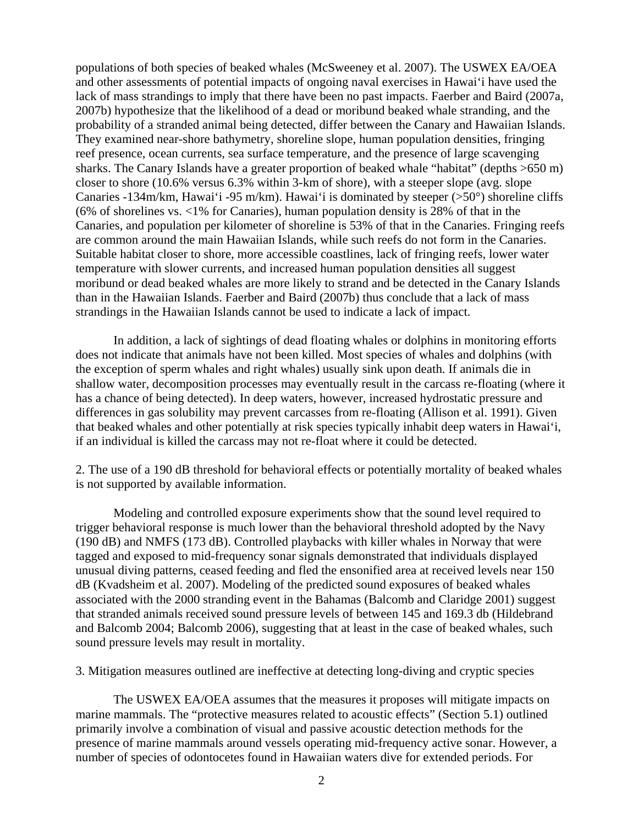populations of both species of beaked whales (McSweeney et al. 2007). The USWEX EA/OEA and other assessments of potential impacts of ongoing naval exercises in Hawai'i have used the lack of mass strandings to imply that there have been no past impacts. Faerber and Baird (2007a, 2007b) hypothesize that the likelihood of a dead or moribund beaked whale stranding, and the probability of a stranded animal being detected, differ between the Canary and Hawaiian Islands. They examined near-shore bathymetry, shoreline slope, human population densities, fringing reef presence, ocean currents, sea surface temperature, and the presence of large scavenging sharks. The Canary Islands have a greater proportion of beaked whale "habitat" (depths >650 m) closer to shore (10.6% versus 6.3% within 3-km of shore), with a steeper slope (avg. slope Canaries -134m/km, Hawai'i -95 m/km). Hawai'i is dominated by steeper ( $>50^{\circ}$ ) shoreline cliffs (6% of shorelines vs. <1% for Canaries), human population density is 28% of that in the Canaries, and population per kilometer of shoreline is 53% of that in the Canaries. Fringing reefs are common around the main Hawaiian Islands, while such reefs do not form in the Canaries. Suitable habitat closer to shore, more accessible coastlines, lack of fringing reefs, lower water temperature with slower currents, and increased human population densities all suggest moribund or dead beaked whales are more likely to strand and be detected in the Canary Islands than in the Hawaiian Islands. Faerber and Baird (2007b) thus conclude that a lack of mass strandings in the Hawaiian Islands cannot be used to indicate a lack of impact.

In addition, a lack of sightings of dead floating whales or dolphins in monitoring efforts does not indicate that animals have not been killed. Most species of whales and dolphins (with the exception of sperm whales and right whales) usually sink upon death. If animals die in shallow water, decomposition processes may eventually result in the carcass re-floating (where it has a chance of being detected). In deep waters, however, increased hydrostatic pressure and differences in gas solubility may prevent carcasses from re-floating (Allison et al. 1991). Given that beaked whales and other potentially at risk species typically inhabit deep waters in Hawai'i, if an individual is killed the carcass may not re-float where it could be detected.

2. The use of a 190 dB threshold for behavioral effects or potentially mortality of beaked whales is not supported by available information.

Modeling and controlled exposure experiments show that the sound level required to trigger behavioral response is much lower than the behavioral threshold adopted by the Navy (190 dB) and NMFS (173 dB). Controlled playbacks with killer whales in Norway that were tagged and exposed to mid-frequency sonar signals demonstrated that individuals displayed unusual diving patterns, ceased feeding and fled the ensonified area at received levels near 150 dB (Kvadsheim et al. 2007). Modeling of the predicted sound exposures of beaked whales associated with the 2000 stranding event in the Bahamas (Balcomb and Claridge 2001) suggest that stranded animals received sound pressure levels of between 145 and 169.3 db (Hildebrand and Balcomb 2004; Balcomb 2006), suggesting that at least in the case of beaked whales, such sound pressure levels may result in mortality.

3. Mitigation measures outlined are ineffective at detecting long-diving and cryptic species

The USWEX EA/OEA assumes that the measures it proposes will mitigate impacts on marine mammals. The "protective measures related to acoustic effects" (Section 5.1) outlined primarily involve a combination of visual and passive acoustic detection methods for the presence of marine mammals around vessels operating mid-frequency active sonar. However, a number of species of odontocetes found in Hawaiian waters dive for extended periods. For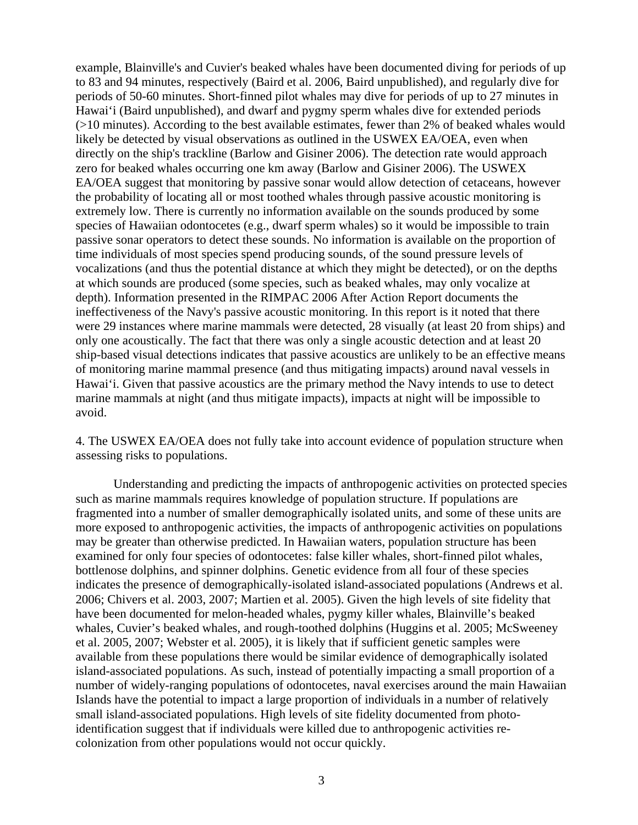example, Blainville's and Cuvier's beaked whales have been documented diving for periods of up to 83 and 94 minutes, respectively (Baird et al. 2006, Baird unpublished), and regularly dive for periods of 50-60 minutes. Short-finned pilot whales may dive for periods of up to 27 minutes in Hawai'i (Baird unpublished), and dwarf and pygmy sperm whales dive for extended periods (>10 minutes). According to the best available estimates, fewer than 2% of beaked whales would likely be detected by visual observations as outlined in the USWEX EA/OEA, even when directly on the ship's trackline (Barlow and Gisiner 2006). The detection rate would approach zero for beaked whales occurring one km away (Barlow and Gisiner 2006). The USWEX EA/OEA suggest that monitoring by passive sonar would allow detection of cetaceans, however the probability of locating all or most toothed whales through passive acoustic monitoring is extremely low. There is currently no information available on the sounds produced by some species of Hawaiian odontocetes (e.g., dwarf sperm whales) so it would be impossible to train passive sonar operators to detect these sounds. No information is available on the proportion of time individuals of most species spend producing sounds, of the sound pressure levels of vocalizations (and thus the potential distance at which they might be detected), or on the depths at which sounds are produced (some species, such as beaked whales, may only vocalize at depth). Information presented in the RIMPAC 2006 After Action Report documents the ineffectiveness of the Navy's passive acoustic monitoring. In this report is it noted that there were 29 instances where marine mammals were detected, 28 visually (at least 20 from ships) and only one acoustically. The fact that there was only a single acoustic detection and at least 20 ship-based visual detections indicates that passive acoustics are unlikely to be an effective means of monitoring marine mammal presence (and thus mitigating impacts) around naval vessels in Hawai'i. Given that passive acoustics are the primary method the Navy intends to use to detect marine mammals at night (and thus mitigate impacts), impacts at night will be impossible to avoid.

4. The USWEX EA/OEA does not fully take into account evidence of population structure when assessing risks to populations.

Understanding and predicting the impacts of anthropogenic activities on protected species such as marine mammals requires knowledge of population structure. If populations are fragmented into a number of smaller demographically isolated units, and some of these units are more exposed to anthropogenic activities, the impacts of anthropogenic activities on populations may be greater than otherwise predicted. In Hawaiian waters, population structure has been examined for only four species of odontocetes: false killer whales, short-finned pilot whales, bottlenose dolphins, and spinner dolphins. Genetic evidence from all four of these species indicates the presence of demographically-isolated island-associated populations (Andrews et al. 2006; Chivers et al. 2003, 2007; Martien et al. 2005). Given the high levels of site fidelity that have been documented for melon-headed whales, pygmy killer whales, Blainville's beaked whales, Cuvier's beaked whales, and rough-toothed dolphins (Huggins et al. 2005; McSweeney et al. 2005, 2007; Webster et al. 2005), it is likely that if sufficient genetic samples were available from these populations there would be similar evidence of demographically isolated island-associated populations. As such, instead of potentially impacting a small proportion of a number of widely-ranging populations of odontocetes, naval exercises around the main Hawaiian Islands have the potential to impact a large proportion of individuals in a number of relatively small island-associated populations. High levels of site fidelity documented from photoidentification suggest that if individuals were killed due to anthropogenic activities recolonization from other populations would not occur quickly.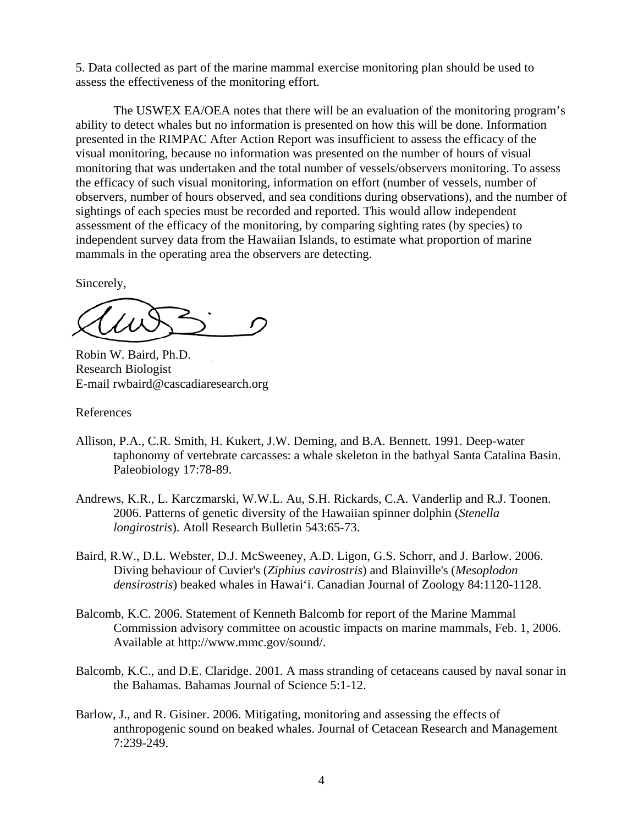5. Data collected as part of the marine mammal exercise monitoring plan should be used to assess the effectiveness of the monitoring effort.

The USWEX EA/OEA notes that there will be an evaluation of the monitoring program's ability to detect whales but no information is presented on how this will be done. Information presented in the RIMPAC After Action Report was insufficient to assess the efficacy of the visual monitoring, because no information was presented on the number of hours of visual monitoring that was undertaken and the total number of vessels/observers monitoring. To assess the efficacy of such visual monitoring, information on effort (number of vessels, number of observers, number of hours observed, and sea conditions during observations), and the number of sightings of each species must be recorded and reported. This would allow independent assessment of the efficacy of the monitoring, by comparing sighting rates (by species) to independent survey data from the Hawaiian Islands, to estimate what proportion of marine mammals in the operating area the observers are detecting.

Sincerely,

Robin W. Baird, Ph.D. Research Biologist E-mail rwbaird@cascadiaresearch.org

References

- Allison, P.A., C.R. Smith, H. Kukert, J.W. Deming, and B.A. Bennett. 1991. Deep-water taphonomy of vertebrate carcasses: a whale skeleton in the bathyal Santa Catalina Basin. Paleobiology 17:78-89.
- Andrews, K.R., L. Karczmarski, W.W.L. Au, S.H. Rickards, C.A. Vanderlip and R.J. Toonen. 2006. Patterns of genetic diversity of the Hawaiian spinner dolphin (*Stenella longirostris*). Atoll Research Bulletin 543:65-73.
- Baird, R.W., D.L. Webster, D.J. McSweeney, A.D. Ligon, G.S. Schorr, and J. Barlow. 2006. Diving behaviour of Cuvier's (*Ziphius cavirostris*) and Blainville's (*Mesoplodon densirostris*) beaked whales in Hawai'i. Canadian Journal of Zoology 84:1120-1128.
- Balcomb, K.C. 2006. Statement of Kenneth Balcomb for report of the Marine Mammal Commission advisory committee on acoustic impacts on marine mammals, Feb. 1, 2006. Available at http://www.mmc.gov/sound/.
- Balcomb, K.C., and D.E. Claridge. 2001. A mass stranding of cetaceans caused by naval sonar in the Bahamas. Bahamas Journal of Science 5:1-12.
- Barlow, J., and R. Gisiner. 2006. Mitigating, monitoring and assessing the effects of anthropogenic sound on beaked whales. Journal of Cetacean Research and Management 7:239-249.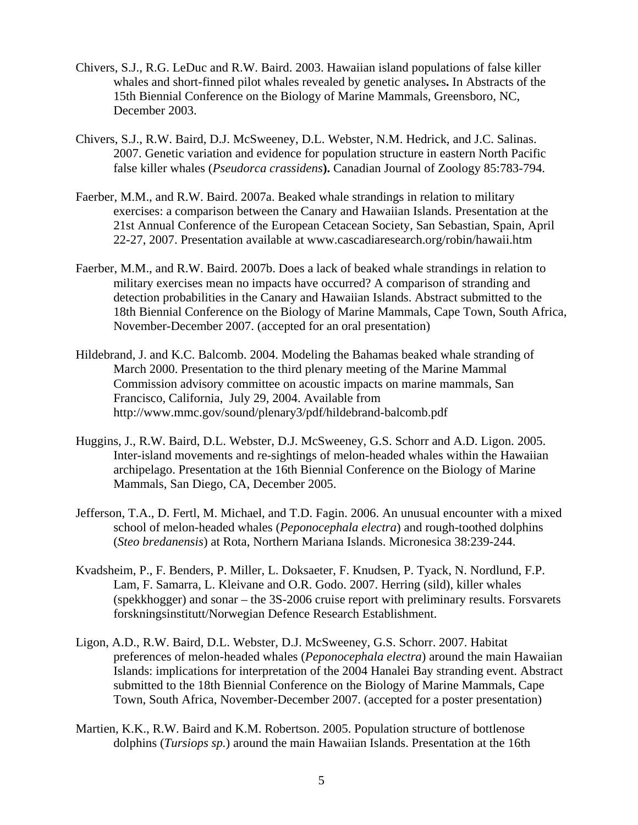- Chivers, S.J., R.G. LeDuc and R.W. Baird. 2003. Hawaiian island populations of false killer whales and short-finned pilot whales revealed by genetic analyses**.** In Abstracts of the 15th Biennial Conference on the Biology of Marine Mammals, Greensboro, NC, December 2003.
- Chivers, S.J., R.W. Baird, D.J. McSweeney, D.L. Webster, N.M. Hedrick, and J.C. Salinas. 2007. Genetic variation and evidence for population structure in eastern North Pacific false killer whales (*Pseudorca crassidens***).** Canadian Journal of Zoology 85:783-794.
- Faerber, M.M., and R.W. Baird. 2007a. Beaked whale strandings in relation to military exercises: a comparison between the Canary and Hawaiian Islands. Presentation at the 21st Annual Conference of the European Cetacean Society, San Sebastian, Spain, April 22-27, 2007. Presentation available at www.cascadiaresearch.org/robin/hawaii.htm
- Faerber, M.M., and R.W. Baird. 2007b. Does a lack of beaked whale strandings in relation to military exercises mean no impacts have occurred? A comparison of stranding and detection probabilities in the Canary and Hawaiian Islands. Abstract submitted to the 18th Biennial Conference on the Biology of Marine Mammals, Cape Town, South Africa, November-December 2007. (accepted for an oral presentation)
- Hildebrand, J. and K.C. Balcomb. 2004. Modeling the Bahamas beaked whale stranding of March 2000. Presentation to the third plenary meeting of the Marine Mammal Commission advisory committee on acoustic impacts on marine mammals, San Francisco, California, July 29, 2004. Available from http://www.mmc.gov/sound/plenary3/pdf/hildebrand-balcomb.pdf
- Huggins, J., R.W. Baird, D.L. Webster, D.J. McSweeney, G.S. Schorr and A.D. Ligon. 2005. Inter-island movements and re-sightings of melon-headed whales within the Hawaiian archipelago. Presentation at the 16th Biennial Conference on the Biology of Marine Mammals, San Diego, CA, December 2005.
- Jefferson, T.A., D. Fertl, M. Michael, and T.D. Fagin. 2006. An unusual encounter with a mixed school of melon-headed whales (*Peponocephala electra*) and rough-toothed dolphins (*Steo bredanensis*) at Rota, Northern Mariana Islands. Micronesica 38:239-244.
- Kvadsheim, P., F. Benders, P. Miller, L. Doksaeter, F. Knudsen, P. Tyack, N. Nordlund, F.P. Lam, F. Samarra, L. Kleivane and O.R. Godo. 2007. Herring (sild), killer whales (spekkhogger) and sonar – the 3S-2006 cruise report with preliminary results. Forsvarets forskningsinstitutt/Norwegian Defence Research Establishment.
- Ligon, A.D., R.W. Baird, D.L. Webster, D.J. McSweeney, G.S. Schorr. 2007. Habitat preferences of melon-headed whales (*Peponocephala electra*) around the main Hawaiian Islands: implications for interpretation of the 2004 Hanalei Bay stranding event. Abstract submitted to the 18th Biennial Conference on the Biology of Marine Mammals, Cape Town, South Africa, November-December 2007. (accepted for a poster presentation)
- Martien, K.K., R.W. Baird and K.M. Robertson. 2005. Population structure of bottlenose dolphins (*Tursiops sp.*) around the main Hawaiian Islands. Presentation at the 16th